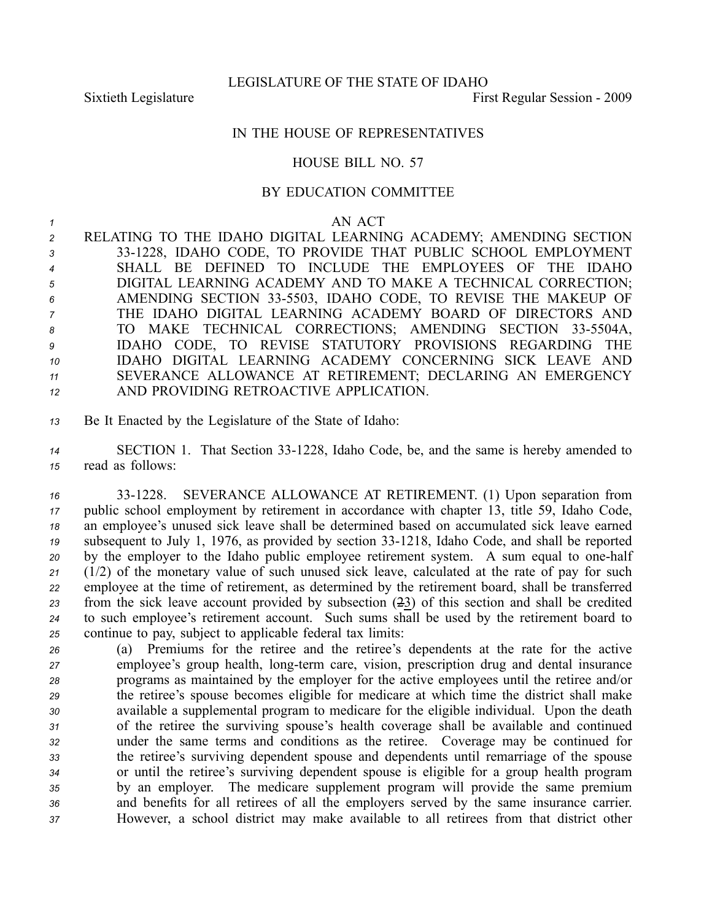## IN THE HOUSE OF REPRESENTATIVES

## HOUSE BILL NO. 57

## BY EDUCATION COMMITTEE

## *<sup>1</sup>* AN ACT

 RELATING TO THE IDAHO DIGITAL LEARNING ACADEMY; AMENDING SECTION 331228, IDAHO CODE, TO PROVIDE THAT PUBLIC SCHOOL EMPLOYMENT SHALL BE DEFINED TO INCLUDE THE EMPLOYEES OF THE IDAHO DIGITAL LEARNING ACADEMY AND TO MAKE A TECHNICAL CORRECTION; AMENDING SECTION 335503, IDAHO CODE, TO REVISE THE MAKEUP OF THE IDAHO DIGITAL LEARNING ACADEMY BOARD OF DIRECTORS AND 8 TO MAKE TECHNICAL CORRECTIONS; AMENDING SECTION 33-5504A, IDAHO CODE, TO REVISE STATUTORY PROVISIONS REGARDING THE IDAHO DIGITAL LEARNING ACADEMY CONCERNING SICK LEAVE AND SEVERANCE ALLOWANCE AT RETIREMENT; DECLARING AN EMERGENCY AND PROVIDING RETROACTIVE APPLICATION.

*<sup>13</sup>* Be It Enacted by the Legislature of the State of Idaho:

*<sup>14</sup>* SECTION 1. That Section 331228, Idaho Code, be, and the same is hereby amended to *<sup>15</sup>* read as follows:

 331228. SEVERANCE ALLOWANCE AT RETIREMENT. (1) Upon separation from public school employment by retirement in accordance with chapter 13, title 59, Idaho Code, an employee's unused sick leave shall be determined based on accumulated sick leave earned <sup>19</sup> subsequent to July 1, 1976, as provided by section 33-1218, Idaho Code, and shall be reported by the employer to the Idaho public employee retirement system. A sum equal to onehalf (1/2) of the monetary value of such unused sick leave, calculated at the rate of pay for such employee at the time of retirement, as determined by the retirement board, shall be transferred from the sick leave account provided by subsection (23) of this section and shall be credited to such employee's retirement account. Such sums shall be used by the retirement board to continue to pay, subject to applicable federal tax limits:

 (a) Premiums for the retiree and the retiree's dependents at the rate for the active employee's group health, long-term care, vision, prescription drug and dental insurance programs as maintained by the employer for the active employees until the retiree and/or the retiree's spouse becomes eligible for medicare at which time the district shall make available <sup>a</sup> supplemental program to medicare for the eligible individual. Upon the death of the retiree the surviving spouse's health coverage shall be available and continued under the same terms and conditions as the retiree. Coverage may be continued for the retiree's surviving dependent spouse and dependents until remarriage of the spouse or until the retiree's surviving dependent spouse is eligible for <sup>a</sup> group health program by an employer. The medicare supplement program will provide the same premium and benefits for all retirees of all the employers served by the same insurance carrier. However, <sup>a</sup> school district may make available to all retirees from that district other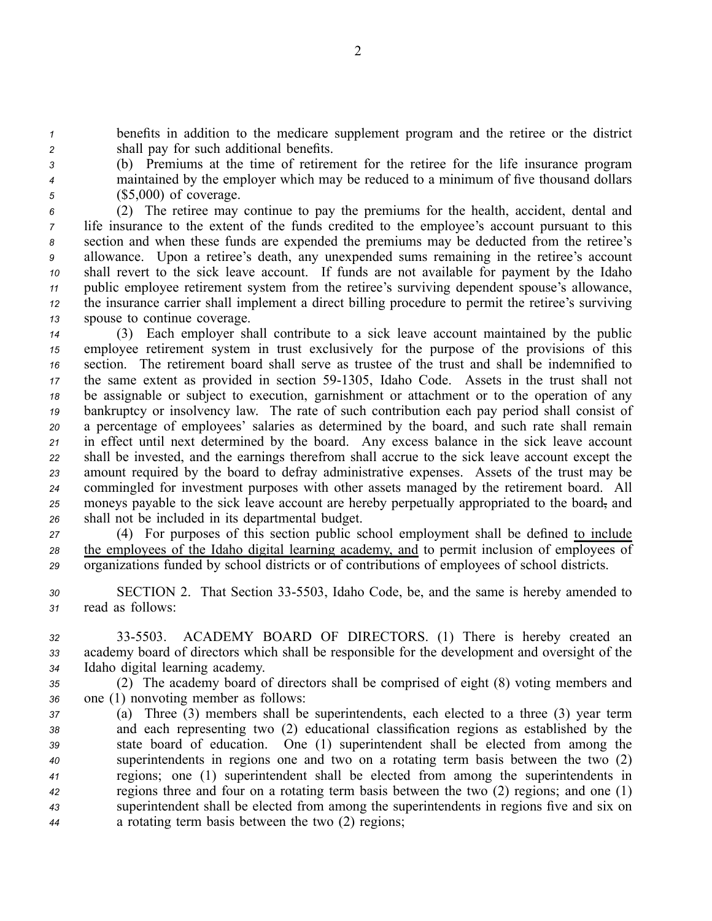*<sup>1</sup>* benefits in addition to the medicare supplement program and the retiree or the district *<sup>2</sup>* shall pay for such additional benefits.

*<sup>3</sup>* (b) Premiums at the time of retirement for the retiree for the life insurance program *<sup>4</sup>* maintained by the employer which may be reduced to <sup>a</sup> minimum of five thousand dollars *<sup>5</sup>* (\$5,000) of coverage.

 (2) The retiree may continue to pay the premiums for the health, accident, dental and life insurance to the extent of the funds credited to the employee's account pursuan<sup>t</sup> to this section and when these funds are expended the premiums may be deducted from the retiree's allowance. Upon <sup>a</sup> retiree's death, any unexpended sums remaining in the retiree's account shall revert to the sick leave account. If funds are not available for paymen<sup>t</sup> by the Idaho public employee retirement system from the retiree's surviving dependent spouse's allowance, the insurance carrier shall implement <sup>a</sup> direct billing procedure to permit the retiree's surviving spouse to continue coverage.

 (3) Each employer shall contribute to <sup>a</sup> sick leave account maintained by the public employee retirement system in trust exclusively for the purpose of the provisions of this section. The retirement board shall serve as trustee of the trust and shall be indemnified to 17 the same extent as provided in section 59-1305, Idaho Code. Assets in the trust shall not be assignable or subject to execution, garnishment or attachment or to the operation of any bankruptcy or insolvency law. The rate of such contribution each pay period shall consist of <sup>a</sup> percentage of employees' salaries as determined by the board, and such rate shall remain in effect until next determined by the board. Any excess balance in the sick leave account shall be invested, and the earnings therefrom shall accrue to the sick leave account excep<sup>t</sup> the amount required by the board to defray administrative expenses. Assets of the trust may be commingled for investment purposes with other assets managed by the retirement board. All moneys payable to the sick leave account are hereby perpetually appropriated to the board, and shall not be included in its departmental budget.

*<sup>27</sup>* (4) For purposes of this section public school employment shall be defined to include *<sup>28</sup>* the employees of the Idaho digital learning academy, and to permit inclusion of employees of *<sup>29</sup>* organizations funded by school districts or of contributions of employees of school districts.

- 30 SECTION 2. That Section 33-5503, Idaho Code, be, and the same is hereby amended to *<sup>31</sup>* read as follows:
- *<sup>32</sup>* 335503. ACADEMY BOARD OF DIRECTORS. (1) There is hereby created an *<sup>33</sup>* academy board of directors which shall be responsible for the development and oversight of the *<sup>34</sup>* Idaho digital learning academy.
- *<sup>35</sup>* (2) The academy board of directors shall be comprised of eight (8) voting members and *<sup>36</sup>* one (1) nonvoting member as follows:
- *<sup>37</sup>* (a) Three (3) members shall be superintendents, each elected to <sup>a</sup> three (3) year term *<sup>38</sup>* and each representing two (2) educational classification regions as established by the *<sup>39</sup>* state board of education. One (1) superintendent shall be elected from among the *<sup>40</sup>* superintendents in regions one and two on <sup>a</sup> rotating term basis between the two (2) *<sup>41</sup>* regions; one (1) superintendent shall be elected from among the superintendents in *<sup>42</sup>* regions three and four on <sup>a</sup> rotating term basis between the two (2) regions; and one (1) *<sup>43</sup>* superintendent shall be elected from among the superintendents in regions five and six on *<sup>44</sup>* <sup>a</sup> rotating term basis between the two (2) regions;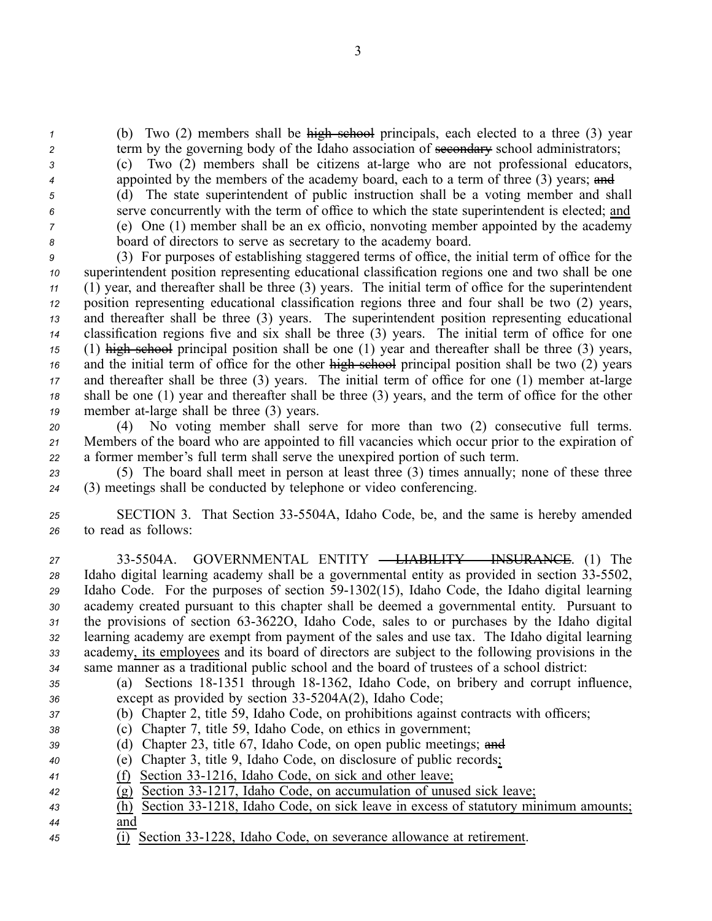*<sup>1</sup>* (b) Two (2) members shall be high school principals, each elected to <sup>a</sup> three (3) year

- 2 term by the governing body of the Idaho association of secondary school administrators; *<sup>3</sup>* (c) Two (2) members shall be citizens atlarge who are not professional educators,
- *4* appointed by the members of the academy board, each to a term of three (3) years; and
- 

 (d) The state superintendent of public instruction shall be <sup>a</sup> voting member and shall serve concurrently with the term of office to which the state superintendent is elected; and (e) One (1) member shall be an ex officio, nonvoting member appointed by the academy board of directors to serve as secretary to the academy board.

 (3) For purposes of establishing staggered terms of office, the initial term of office for the superintendent position representing educational classification regions one and two shall be one (1) year, and thereafter shall be three (3) years. The initial term of office for the superintendent position representing educational classification regions three and four shall be two (2) years, and thereafter shall be three (3) years. The superintendent position representing educational classification regions five and six shall be three (3) years. The initial term of office for one (1) high school principal position shall be one (1) year and thereafter shall be three (3) years, and the initial term of office for the other high school principal position shall be two (2) years and thereafter shall be three (3) years. The initial term of office for one (1) member at-large shall be one (1) year and thereafter shall be three (3) years, and the term of office for the other member at-large shall be three (3) years.

*<sup>20</sup>* (4) No voting member shall serve for more than two (2) consecutive full terms. *<sup>21</sup>* Members of the board who are appointed to fill vacancies which occur prior to the expiration of *<sup>22</sup>* <sup>a</sup> former member's full term shall serve the unexpired portion of such term.

*<sup>23</sup>* (5) The board shall meet in person at least three (3) times annually; none of these three *<sup>24</sup>* (3) meetings shall be conducted by telephone or video conferencing.

*<sup>25</sup>* SECTION 3. That Section 335504A, Idaho Code, be, and the same is hereby amended *<sup>26</sup>* to read as follows:

 335504A. GOVERNMENTAL ENTITY – LIABILITY – INSURANCE. (1) The Idaho digital learning academy shall be <sup>a</sup> governmental entity as provided in section 335502, 29 Idaho Code. For the purposes of section 59-1302(15), Idaho Code, the Idaho digital learning academy created pursuan<sup>t</sup> to this chapter shall be deemed <sup>a</sup> governmental entity. Pursuant to the provisions of section 633622O, Idaho Code, sales to or purchases by the Idaho digital learning academy are exemp<sup>t</sup> from paymen<sup>t</sup> of the sales and use tax. The Idaho digital learning academy, its employees and its board of directors are subject to the following provisions in the same manner as <sup>a</sup> traditional public school and the board of trustees of <sup>a</sup> school district:

- *<sup>35</sup>* (a) Sections 181351 through 181362, Idaho Code, on bribery and corrup<sup>t</sup> influence, 36 except as provided by section 33-5204A(2), Idaho Code;
- *<sup>37</sup>* (b) Chapter 2, title 59, Idaho Code, on prohibitions against contracts with officers;
- *<sup>38</sup>* (c) Chapter 7, title 59, Idaho Code, on ethics in government;
- *<sup>39</sup>* (d) Chapter 23, title 67, Idaho Code, on open public meetings; and
- *<sup>40</sup>* (e) Chapter 3, title 9, Idaho Code, on disclosure of public records;
- 41 (f) Section 33-1216, Idaho Code, on sick and other leave;
- $\overline{(g)}$  Section 33-1217, Idaho Code, on accumulation of unused sick leave;
- $\overline{h}$  (h) Section 33-1218, Idaho Code, on sick leave in excess of statutory minimum amounts; *<sup>44</sup>* and
- *<sup>45</sup>* (i) Section 331228, Idaho Code, on severance allowance at retirement.